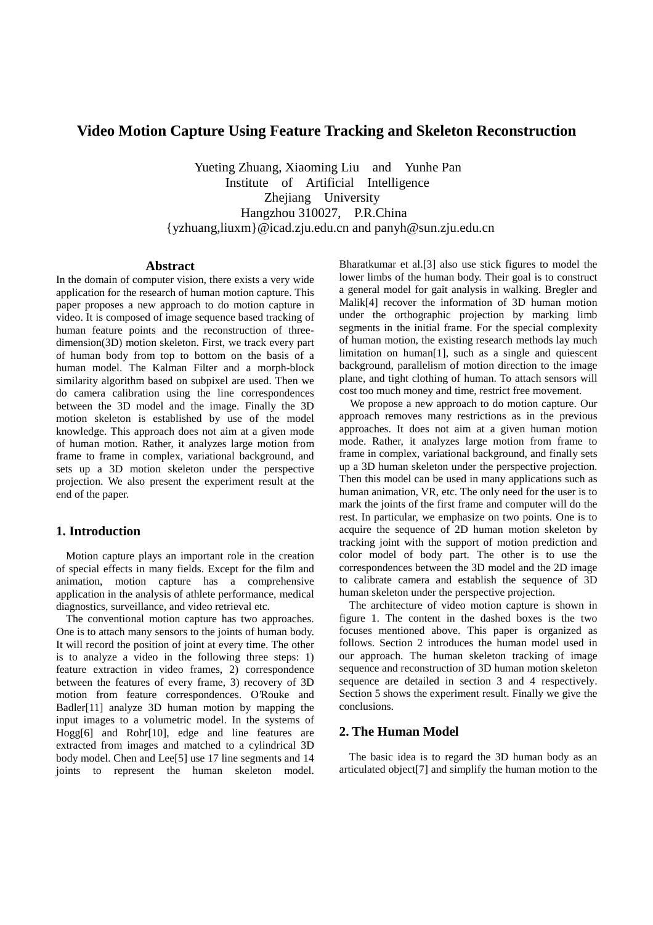# **Video Motion Capture Using Feature Tracking and Skeleton Reconstruction**

Yueting Zhuang, Xiaoming Liu and Yunhe Pan Institute of Artificial Intelligence Zhejiang University Hangzhou 310027, P.R.China {yzhuang,liuxm}@icad.zju.edu.cn and panyh@sun.zju.edu.cn

#### **Abstract**

In the domain of computer vision, there exists a very wide application for the research of human motion capture. This paper proposes a new approach to do motion capture in video. It is composed of image sequence based tracking of human feature points and the reconstruction of threedimension(3D) motion skeleton. First, we track every part of human body from top to bottom on the basis of a human model. The Kalman Filter and a morph-block similarity algorithm based on subpixel are used. Then we do camera calibration using the line correspondences between the 3D model and the image. Finally the 3D motion skeleton is established by use of the model knowledge. This approach does not aim at a given mode of human motion. Rather, it analyzes large motion from frame to frame in complex, variational background, and sets up a 3D motion skeleton under the perspective projection. We also present the experiment result at the end of the paper.

### **1. Introduction**

Motion capture plays an important role in the creation of special effects in many fields. Except for the film and animation, motion capture has a comprehensive application in the analysis of athlete performance, medical diagnostics, surveillance, and video retrieval etc.

The conventional motion capture has two approaches. One is to attach many sensors to the joints of human body. It will record the position of joint at every time. The other is to analyze a video in the following three steps: 1) feature extraction in video frames, 2) correspondence between the features of every frame, 3) recovery of 3D motion from feature correspondences. O'Rouke and Badler[11] analyze 3D human motion by mapping the input images to a volumetric model. In the systems of Hogg[6] and Rohr[10], edge and line features are extracted from images and matched to a cylindrical 3D body model. Chen and Lee[5] use 17 line segments and 14 joints to represent the human skeleton model.

Bharatkumar et al.[3] also use stick figures to model the lower limbs of the human body. Their goal is to construct a general model for gait analysis in walking. Bregler and Malik[4] recover the information of 3D human motion under the orthographic projection by marking limb segments in the initial frame. For the special complexity of human motion, the existing research methods lay much limitation on human<sup>[1]</sup>, such as a single and quiescent background, parallelism of motion direction to the image plane, and tight clothing of human. To attach sensors will cost too much money and time, restrict free movement.

 We propose a new approach to do motion capture. Our approach removes many restrictions as in the previous approaches. It does not aim at a given human motion mode. Rather, it analyzes large motion from frame to frame in complex, variational background, and finally sets up a 3D human skeleton under the perspective projection. Then this model can be used in many applications such as human animation, VR, etc. The only need for the user is to mark the joints of the first frame and computer will do the rest. In particular, we emphasize on two points. One is to acquire the sequence of 2D human motion skeleton by tracking joint with the support of motion prediction and color model of body part. The other is to use the correspondences between the 3D model and the 2D image to calibrate camera and establish the sequence of 3D human skeleton under the perspective projection.

The architecture of video motion capture is shown in figure 1. The content in the dashed boxes is the two focuses mentioned above. This paper is organized as follows. Section 2 introduces the human model used in our approach. The human skeleton tracking of image sequence and reconstruction of 3D human motion skeleton sequence are detailed in section 3 and 4 respectively. Section 5 shows the experiment result. Finally we give the conclusions.

### **2. The Human Model**

 The basic idea is to regard the 3D human body as an articulated object[7] and simplify the human motion to the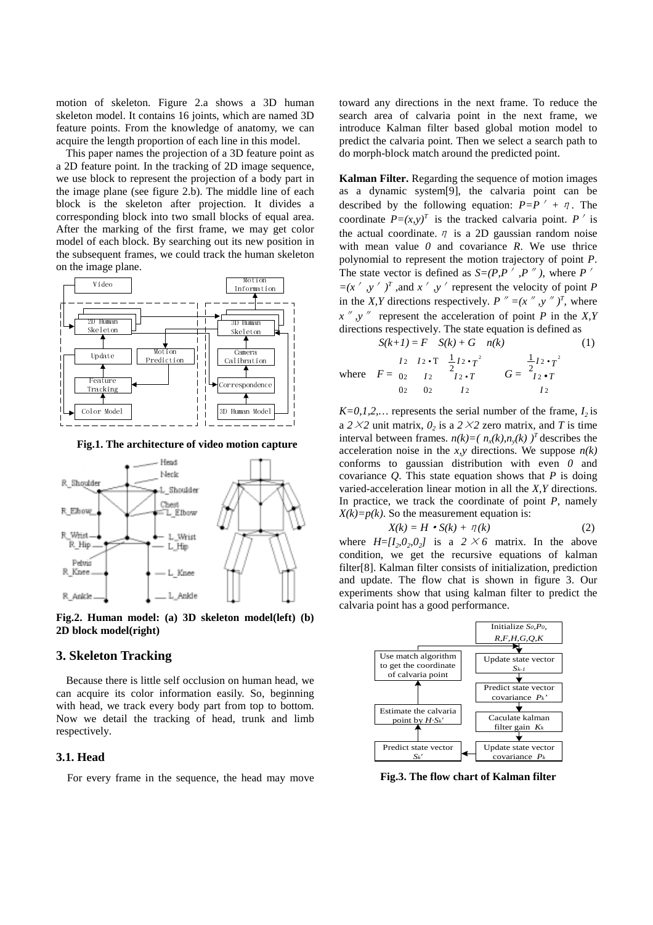motion of skeleton. Figure 2.a shows a 3D human skeleton model. It contains 16 joints, which are named 3D feature points. From the knowledge of anatomy, we can acquire the length proportion of each line in this model.

This paper names the projection of a 3D feature point as a 2D feature point. In the tracking of 2D image sequence, we use block to represent the projection of a body part in the image plane (see figure 2.b). The middle line of each block is the skeleton after projection. It divides a corresponding block into two small blocks of equal area. After the marking of the first frame, we may get color model of each block. By searching out its new position in the subsequent frames, we could track the human skeleton on the image plane.



 **Fig.1. The architecture of video motion capture**



**Fig.2. Human model: (a) 3D skeleton model(left) (b) 2D block model(right)**

#### **3. Skeleton Tracking**

 Because there is little self occlusion on human head, we can acquire its color information easily. So, beginning with head, we track every body part from top to bottom. Now we detail the tracking of head, trunk and limb respectively.

#### **3.1. Head**

For every frame in the sequence, the head may move

toward any directions in the next frame. To reduce the search area of calvaria point in the next frame, we introduce Kalman filter based global motion model to predict the calvaria point. Then we select a search path to do morph-block match around the predicted point.

**Kalman Filter.** Regarding the sequence of motion images as a dynamic system[9], the calvaria point can be described by the following equation:  $P = P' + T$ . The coordinate  $P=(x,y)^T$  is the tracked calvaria point. P<sup>i</sup> is the actual coordinate.  $\eta$  is a 2D gaussian random noise with mean value *0* and covariance *R*. We use thrice polynomial to represent the motion trajectory of point *P*. The state vector is defined as  $S=(P,P',P'')$ , where *P*<sup>*/*</sup>  $=(x', y')^T$ , and  $x', y'$  represent the velocity of point *P* in the *X,Y* directions respectively.  $P'' = (x'', y'')^T$ , where  $x''$ ,  $y''$  represent the acceleration of point *P* in the *X*, *Y* directions respectively. The state equation is defined as

$$
S(k+1) = F \t S(k) + G \t n(k)
$$
(1)  
where  $F = \begin{bmatrix} I_2 & I_2 \cdot T & \frac{1}{2}I_2 \cdot T^2 \\ 0_2 & I_2 & I_2 \cdot T \\ 0_2 & 0_2 & I_2 \end{bmatrix} \t G = \begin{bmatrix} \frac{1}{2}I_2 \cdot T^2 \\ 0_2 \cdot T \\ 0_2 \end{bmatrix}$ 

 $K=0,1,2,...$  represents the serial number of the frame,  $I_2$  is a  $2 \times 2$  unit matrix,  $0_2$  is a  $2 \times 2$  zero matrix, and *T* is time interval between frames.  $n(k)=(n_{y}(k),n_{y}(k))^{T}$  describes the acceleration noise in the *x*, *y* directions. We suppose  $n(k)$ conforms to gaussian distribution with even *0* and covariance  $Q$ . This state equation shows that  $P$  is doing varied-acceleration linear motion in all the *X,Y* directions. In practice, we track the coordinate of point *P*, namely  $X(k)=p(k)$ . So the measurement equation is:

$$
X(k) = H \cdot S(k) + \eta(k) \tag{2}
$$

where  $H=$ [*I<sub>2</sub>,0<sub>2</sub>,0<sub>2</sub>]* is a 2  $\times$  6 matrix. In the above condition, we get the recursive equations of kalman filter[8]. Kalman filter consists of initialization, prediction and update. The flow chat is shown in figure 3. Our experiments show that using kalman filter to predict the calvaria point has a good performance.



**Fig.3. The flow chart of Kalman filter**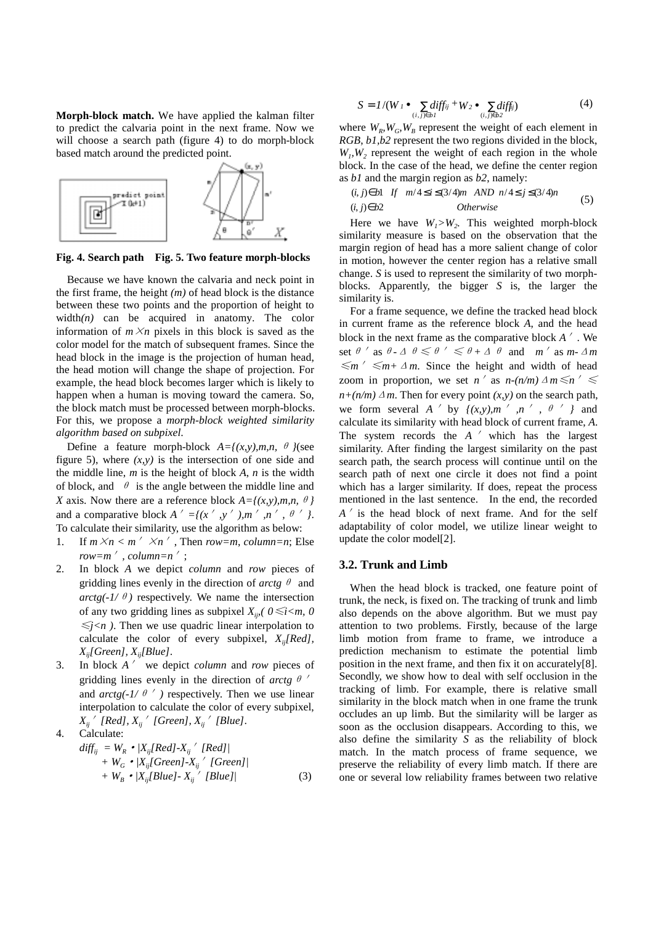**Morph-block match.** We have applied the kalman filter to predict the calvaria point in the next frame. Now we will choose a search path (figure 4) to do morph-block based match around the predicted point.



**Fig. 4. Search path Fig. 5. Two feature morph-blocks**

 Because we have known the calvaria and neck point in the first frame, the height *(m)* of head block is the distance between these two points and the proportion of height to width $(n)$  can be acquired in anatomy. The color information of  $m \times n$  pixels in this block is saved as the color model for the match of subsequent frames. Since the head block in the image is the projection of human head, the head motion will change the shape of projection. For example, the head block becomes larger which is likely to happen when a human is moving toward the camera. So, the block match must be processed between morph-blocks. For this, we propose a *morph-block weighted similarity algorithm based on subpixel*.

Define a feature morph-block  $A=f(x,y),m,n$ ,  $\theta$  *}*(see figure 5), where  $(x, y)$  is the intersection of one side and the middle line, *m* is the height of block *A*, *n* is the width of block, and  $\theta$  is the angle between the middle line and *X* axis. Now there are a reference block  $A = \{(x, y), m, n, \theta\}$ and a comparative block  $A' = \{(x', y', y', m', n', \theta'')\}$ . To calculate their similarity, use the algorithm as below:

- 1. If  $m \times n < m' \times n'$ , Then *row=m*, *column=n*; Else *row=m*<sup> $\prime$ </sup>, *column=n*<sup> $\prime$ </sup>;
- 2. In block *A* we depict *column* and *row* pieces of gridding lines evenly in the direction of *arctg*  $\theta$  and *arctg(-1/* $\theta$ *)* respectively. We name the intersection of any two gridding lines as subpixel  $X_{ij}$ ,  $0 \le i \le m$ , 0  $\leq j \leq n$ ). Then we use quadric linear interpolation to calculate the color of every subpixel, *Xij[Red], Xij[Green], Xij[Blue]*.
- 3. In block *A* ' we depict *column* and *row* pieces of gridding lines evenly in the direction of *arctg*  $\theta$ and  $arctg(-1/\theta')$  respectively. Then we use linear interpolation to calculate the color of every subpixel,  $X_{ij}$ <sup>*'*</sup> [Red],  $X_{ij}$ <sup>*'*</sup> [Green],  $X_{ij}$ <sup>*'*</sup> [Blue].

4. Calculate:  
\n
$$
diff_{ij} = W_R \cdot |X_{ij}[Red] \cdot X_{ij} / [Red]| + W_G \cdot |X_{ij}[Green] \cdot X_{ij} / [Green]| + W_B \cdot |X_{ij}[Blue] \cdot X_{ij} / [Blue]|
$$
\n(3)

$$
S = 1/(W_I \bullet \sum_{(i,j)\in bl} diff_{ij} + W_2 \bullet \sum_{(i,j)\in bl} diff_{ij})
$$
(4)

where  $W_{R}$ ,  $W_{G}$ ,  $W_{R}$  represent the weight of each element in *RGB*, *b1,b2* represent the two regions divided in the block,  $W<sub>1</sub>, W<sub>2</sub>$  represent the weight of each region in the whole block. In the case of the head, we define the center region as *b1* and the margin region as *b2*, namely:

$$
\begin{cases}\n(i,j) \in b1 & \text{if } m/4 \le i \le (3/4)m \text{ AND } n/4 \le j \le (3/4)n \\
(i,j) \in b2 & \text{Otherwise}\n\end{cases} (5)
$$

Here we have  $W_1 > W_2$ . This weighted morph-block similarity measure is based on the observation that the margin region of head has a more salient change of color in motion, however the center region has a relative small change. *S* is used to represent the similarity of two morphblocks. Apparently, the bigger *S* is, the larger the similarity is.

 For a frame sequence, we define the tracked head block in current frame as the reference block *A*, and the head block in the next frame as the comparative block  $A'$ . We set  $\theta$  ' as  $\theta$ - $\Delta$   $\theta \le \theta$  '  $\le \theta + \Delta$   $\theta$  and m' as m- $\Delta m$  $\leq m' \leq m+1$  *m*. Since the height and width of head zoom in proportion, we set *n'* as *n-(n/m)*  $\Delta m \le n' \le n$  $n+(n/m) \Delta m$ . Then for every point  $(x, y)$  on the search path, we form several *A* ' by  $\{ (x,y), m \}$  *n* ',  $\theta$  ' } and calculate its similarity with head block of current frame, *A*. The system records the *A* ' which has the largest similarity. After finding the largest similarity on the past search path, the search process will continue until on the search path of next one circle it does not find a point which has a larger similarity. If does, repeat the process mentioned in the last sentence. In the end, the recorded *A*<sup> $\prime$ </sup> is the head block of next frame. And for the self adaptability of color model, we utilize linear weight to update the color model[2].

#### **3.2. Trunk and Limb**

 When the head block is tracked, one feature point of trunk, the neck, is fixed on. The tracking of trunk and limb also depends on the above algorithm. But we must pay attention to two problems. Firstly, because of the large limb motion from frame to frame, we introduce a prediction mechanism to estimate the potential limb position in the next frame, and then fix it on accurately[8]. Secondly, we show how to deal with self occlusion in the tracking of limb. For example, there is relative small similarity in the block match when in one frame the trunk occludes an up limb. But the similarity will be larger as soon as the occlusion disappears. According to this, we also define the similarity *S* as the reliability of block match. In the match process of frame sequence, we preserve the reliability of every limb match. If there are one or several low reliability frames between two relative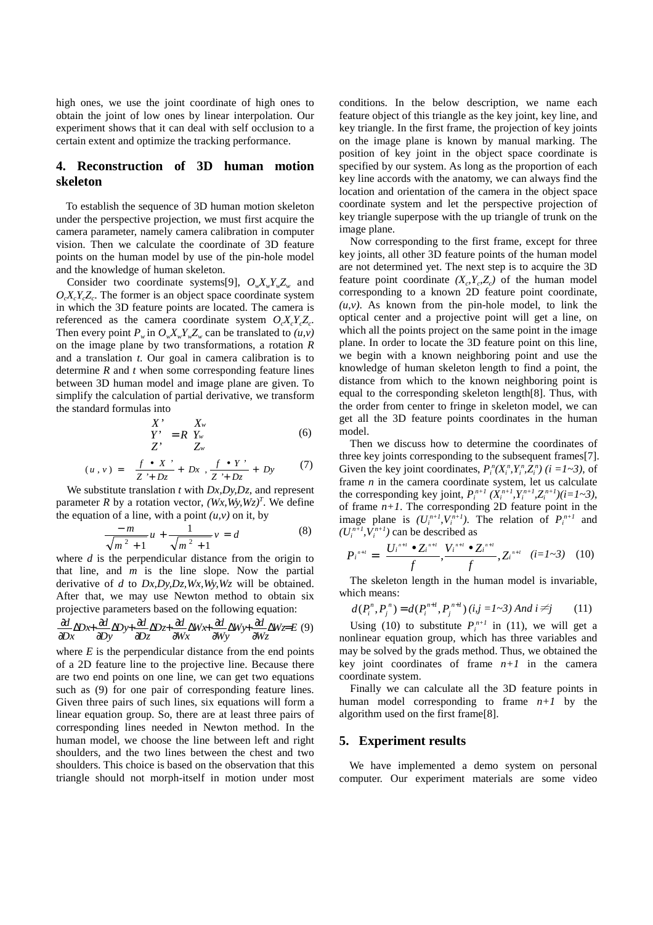high ones, we use the joint coordinate of high ones to obtain the joint of low ones by linear interpolation. Our experiment shows that it can deal with self occlusion to a certain extent and optimize the tracking performance.

## **4. Reconstruction of 3D human motion skeleton**

 To establish the sequence of 3D human motion skeleton under the perspective projection, we must first acquire the camera parameter, namely camera calibration in computer vision. Then we calculate the coordinate of 3D feature points on the human model by use of the pin-hole model and the knowledge of human skeleton.

Consider two coordinate systems[9],  $O_wX_wY_wZ_w$  and  $O_{\alpha}X_{\alpha}Y_{\alpha}Z_{\alpha}$ . The former is an object space coordinate system in which the 3D feature points are located. The camera is referenced as the camera coordinate system  $O_cX_cY_cZ_c$ . Then every point  $P_w$  in  $O_w X_w Y_w Z_w$  can be translated to  $(u, v)$ on the image plane by two transformations, a rotation *R* and a translation *t*. Our goal in camera calibration is to determine *R* and *t* when some corresponding feature lines between 3D human model and image plane are given. To simplify the calculation of partial derivative, we transform the standard formulas into

$$
\begin{pmatrix} X' \\ Y' \\ Z' \end{pmatrix} = R \begin{pmatrix} X_w \\ Y_w \\ Z_w \end{pmatrix}
$$
 (6)

$$
(u,v) = \left(\frac{f \cdot x}{Z + Dz} + Dx, \frac{f \cdot y}{Z + Dz} + Dy\right) \tag{7}
$$

 We substitute translation *t* with *Dx,Dy,Dz,* and represent parameter *R* by a rotation vector,  $(Wx, Wy, Wz)^T$ . We define the equation of a line, with a point  $(u, v)$  on it, by

$$
\frac{-m}{\sqrt{m^2+1}}u + \frac{1}{\sqrt{m^2+1}}v = d
$$
 (8)

where *d* is the perpendicular distance from the origin to that line, and *m* is the line slope. Now the partial derivative of *d* to *Dx,Dy,Dz,Wx,Wy,Wz* will be obtained. After that, we may use Newton method to obtain six projective parameters based on the following equation:

$$
\frac{\partial d}{\partial x} \Delta D \times + \frac{\partial d}{\partial y} \Delta D \times + \frac{\partial d}{\partial z} \Delta D z + \frac{\partial d}{\partial w} \Delta W \times + \frac{\partial d}{\partial w} \Delta W \times + \frac{\partial d}{\partial w} \Delta W z = E(9)
$$

where  $E$  is the perpendicular distance from the end points of a 2D feature line to the projective line. Because there are two end points on one line, we can get two equations such as  $(9)$  for one pair of corresponding feature lines. Given three pairs of such lines, six equations will form a linear equation group. So, there are at least three pairs of corresponding lines needed in Newton method. In the human model, we choose the line between left and right shoulders, and the two lines between the chest and two shoulders. This choice is based on the observation that this triangle should not morph-itself in motion under most conditions. In the below description, we name each feature object of this triangle as the key joint, key line, and key triangle. In the first frame, the projection of key joints on the image plane is known by manual marking. The position of key joint in the object space coordinate is specified by our system. As long as the proportion of each key line accords with the anatomy, we can always find the location and orientation of the camera in the object space coordinate system and let the perspective projection of key triangle superpose with the up triangle of trunk on the image plane.

 Now corresponding to the first frame, except for three key joints, all other 3D feature points of the human model are not determined yet. The next step is to acquire the 3D feature point coordinate  $(X_{c}, Y_{c}, Z_{c})$  of the human model corresponding to a known 2D feature point coordinate,  $(u, v)$ . As known from the pin-hole model, to link the optical center and a projective point will get a line, on which all the points project on the same point in the image plane. In order to locate the 3D feature point on this line, we begin with a known neighboring point and use the knowledge of human skeleton length to find a point, the distance from which to the known neighboring point is equal to the corresponding skeleton length[8]. Thus, with the order from center to fringe in skeleton model, we can get all the 3D feature points coordinates in the human model.

 Then we discuss how to determine the coordinates of three key joints corresponding to the subsequent frames[7]. Given the key joint coordinates,  $P_i^n(X_i^n, Y_i^n, Z_i^n)$  ( $i = 1 \sim 3$ ), of frame *n* in the camera coordinate system, let us calculate the corresponding key joint,  $P_i^{n+1} (X_i^{n+1}, Y_i^{n+1}, Z_i^{n+1}) (i=1 \text{--} 3)$ , of frame  $n+1$ . The corresponding 2D feature point in the image plane is  $(U_i^{n+1}, V_i^{n+1})$ . The relation of  $P_i^{n+1}$  and  $(U_i^{n+1}, V_i^{n+1})$  can be described as

$$
P_i^{n+l} = \left(\frac{U_i^{n+l} \bullet Z_i^{n+l}}{f}, \frac{V_i^{n+l} \bullet Z_i^{n+l}}{f}, Z_i^{n+l}\right) (i = 1 \sim 3) \quad (10)
$$

 The skeleton length in the human model is invariable, which means:

$$
d(P_i^n, P_j^n) = d(P_i^{n+1}, P_j^{n+1}) (i, j = 1 \sim 3) \text{ And } i \neq j \tag{11}
$$

Using (10) to substitute  $P_i^{n+1}$  in (11), we will get a nonlinear equation group, which has three variables and may be solved by the grads method. Thus, we obtained the key joint coordinates of frame  $n+1$  in the camera coordinate system.

 Finally we can calculate all the 3D feature points in human model corresponding to frame  $n+1$  by the algorithm used on the first frame[8].

#### **5. Experiment results**

 We have implemented a demo system on personal computer. Our experiment materials are some video